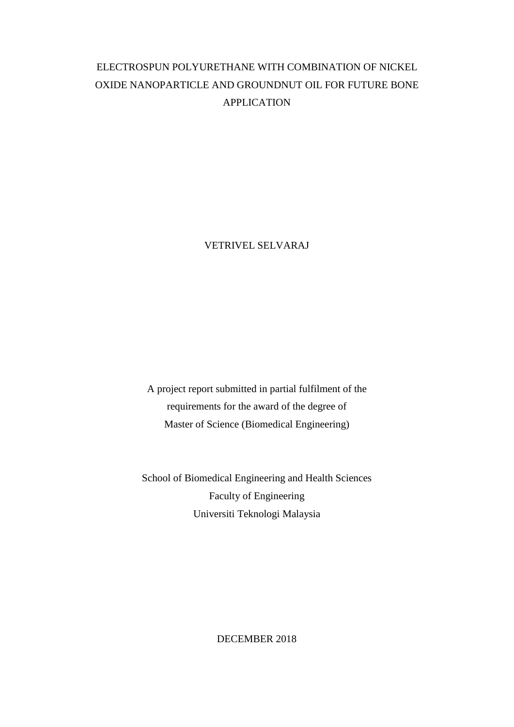# ELECTROSPUN POLYURETHANE WITH COMBINATION OF NICKEL OXIDE NANOPARTICLE AND GROUNDNUT OIL FOR FUTURE BONE APPLICATION

VETRIVEL SELVARAJ

A project report submitted in partial fulfilment of the requirements for the award of the degree of Master of Science (Biomedical Engineering)

School of Biomedical Engineering and Health Sciences Faculty of Engineering Universiti Teknologi Malaysia

DECEMBER 2018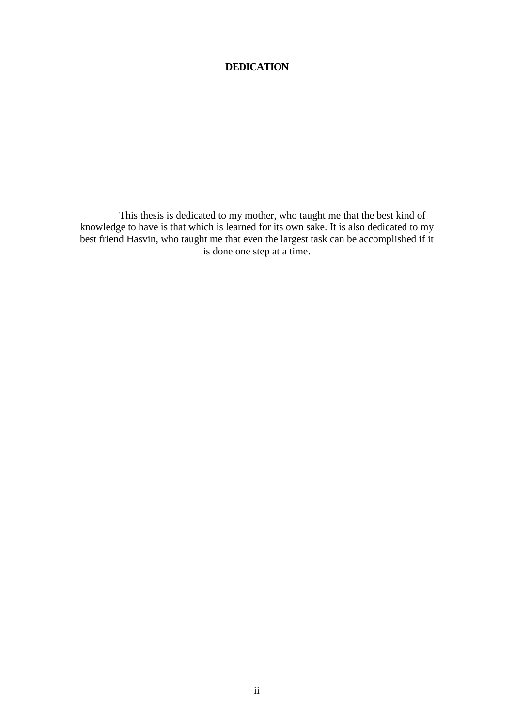## **DEDICATION**

<span id="page-1-0"></span>This thesis is dedicated to my mother, who taught me that the best kind of knowledge to have is that which is learned for its own sake. It is also dedicated to my best friend Hasvin, who taught me that even the largest task can be accomplished if it is done one step at a time.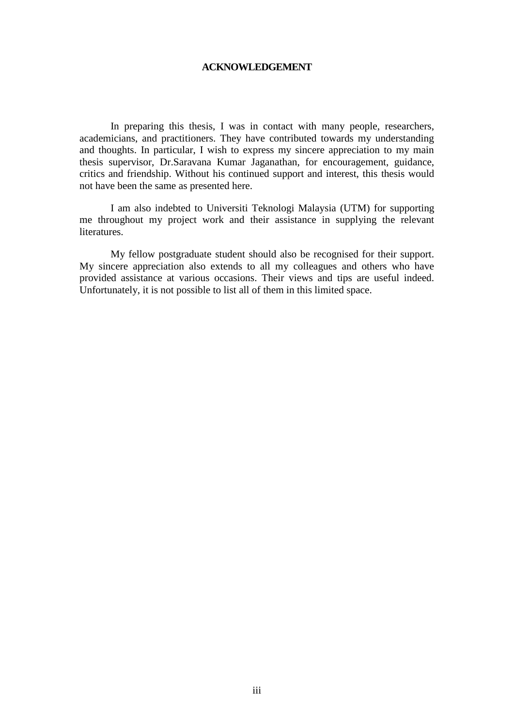#### **ACKNOWLEDGEMENT**

<span id="page-2-0"></span>In preparing this thesis, I was in contact with many people, researchers, academicians, and practitioners. They have contributed towards my understanding and thoughts. In particular, I wish to express my sincere appreciation to my main thesis supervisor, Dr.Saravana Kumar Jaganathan, for encouragement, guidance, critics and friendship. Without his continued support and interest, this thesis would not have been the same as presented here.

I am also indebted to Universiti Teknologi Malaysia (UTM) for supporting me throughout my project work and their assistance in supplying the relevant literatures.

My fellow postgraduate student should also be recognised for their support. My sincere appreciation also extends to all my colleagues and others who have provided assistance at various occasions. Their views and tips are useful indeed. Unfortunately, it is not possible to list all of them in this limited space.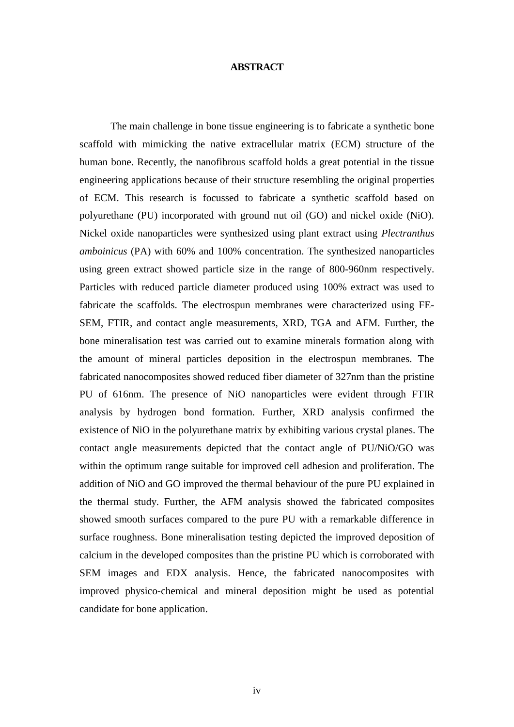#### **ABSTRACT**

<span id="page-3-0"></span>The main challenge in bone tissue engineering is to fabricate a synthetic bone scaffold with mimicking the native extracellular matrix (ECM) structure of the human bone. Recently, the nanofibrous scaffold holds a great potential in the tissue engineering applications because of their structure resembling the original properties of ECM. This research is focussed to fabricate a synthetic scaffold based on polyurethane (PU) incorporated with ground nut oil (GO) and nickel oxide (NiO). Nickel oxide nanoparticles were synthesized using plant extract using *Plectranthus amboinicus* (PA) with 60% and 100% concentration. The synthesized nanoparticles using green extract showed particle size in the range of 800-960nm respectively. Particles with reduced particle diameter produced using 100% extract was used to fabricate the scaffolds. The electrospun membranes were characterized using FE-SEM, FTIR, and contact angle measurements, XRD, TGA and AFM. Further, the bone mineralisation test was carried out to examine minerals formation along with the amount of mineral particles deposition in the electrospun membranes. The fabricated nanocomposites showed reduced fiber diameter of 327nm than the pristine PU of 616nm. The presence of NiO nanoparticles were evident through FTIR analysis by hydrogen bond formation. Further, XRD analysis confirmed the existence of NiO in the polyurethane matrix by exhibiting various crystal planes. The contact angle measurements depicted that the contact angle of PU/NiO/GO was within the optimum range suitable for improved cell adhesion and proliferation. The addition of NiO and GO improved the thermal behaviour of the pure PU explained in the thermal study. Further, the AFM analysis showed the fabricated composites showed smooth surfaces compared to the pure PU with a remarkable difference in surface roughness. Bone mineralisation testing depicted the improved deposition of calcium in the developed composites than the pristine PU which is corroborated with SEM images and EDX analysis. Hence, the fabricated nanocomposites with improved physico-chemical and mineral deposition might be used as potential candidate for bone application.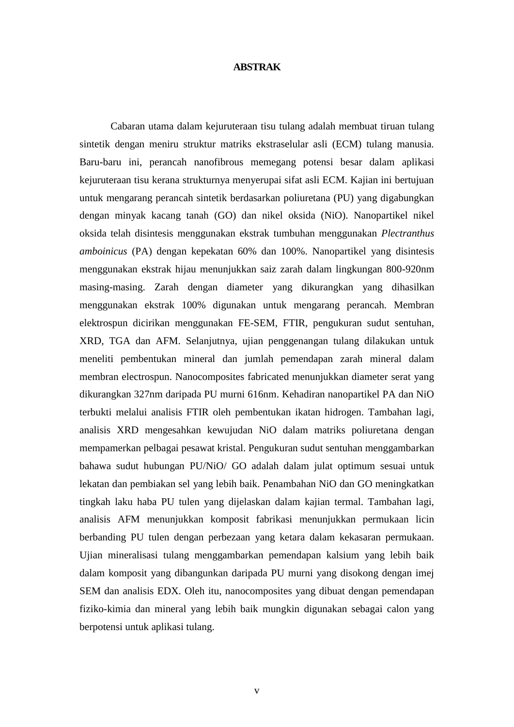#### **ABSTRAK**

<span id="page-4-0"></span>Cabaran utama dalam kejuruteraan tisu tulang adalah membuat tiruan tulang sintetik dengan meniru struktur matriks ekstraselular asli (ECM) tulang manusia. Baru-baru ini, perancah nanofibrous memegang potensi besar dalam aplikasi kejuruteraan tisu kerana strukturnya menyerupai sifat asli ECM. Kajian ini bertujuan untuk mengarang perancah sintetik berdasarkan poliuretana (PU) yang digabungkan dengan minyak kacang tanah (GO) dan nikel oksida (NiO). Nanopartikel nikel oksida telah disintesis menggunakan ekstrak tumbuhan menggunakan *Plectranthus amboinicus* (PA) dengan kepekatan 60% dan 100%. Nanopartikel yang disintesis menggunakan ekstrak hijau menunjukkan saiz zarah dalam lingkungan 800-920nm masing-masing. Zarah dengan diameter yang dikurangkan yang dihasilkan menggunakan ekstrak 100% digunakan untuk mengarang perancah. Membran elektrospun dicirikan menggunakan FE-SEM, FTIR, pengukuran sudut sentuhan, XRD, TGA dan AFM. Selanjutnya, ujian penggenangan tulang dilakukan untuk meneliti pembentukan mineral dan jumlah pemendapan zarah mineral dalam membran electrospun. Nanocomposites fabricated menunjukkan diameter serat yang dikurangkan 327nm daripada PU murni 616nm. Kehadiran nanopartikel PA dan NiO terbukti melalui analisis FTIR oleh pembentukan ikatan hidrogen. Tambahan lagi, analisis XRD mengesahkan kewujudan NiO dalam matriks poliuretana dengan mempamerkan pelbagai pesawat kristal. Pengukuran sudut sentuhan menggambarkan bahawa sudut hubungan PU/NiO/ GO adalah dalam julat optimum sesuai untuk lekatan dan pembiakan sel yang lebih baik. Penambahan NiO dan GO meningkatkan tingkah laku haba PU tulen yang dijelaskan dalam kajian termal. Tambahan lagi, analisis AFM menunjukkan komposit fabrikasi menunjukkan permukaan licin berbanding PU tulen dengan perbezaan yang ketara dalam kekasaran permukaan. Ujian mineralisasi tulang menggambarkan pemendapan kalsium yang lebih baik dalam komposit yang dibangunkan daripada PU murni yang disokong dengan imej SEM dan analisis EDX. Oleh itu, nanocomposites yang dibuat dengan pemendapan fiziko-kimia dan mineral yang lebih baik mungkin digunakan sebagai calon yang berpotensi untuk aplikasi tulang.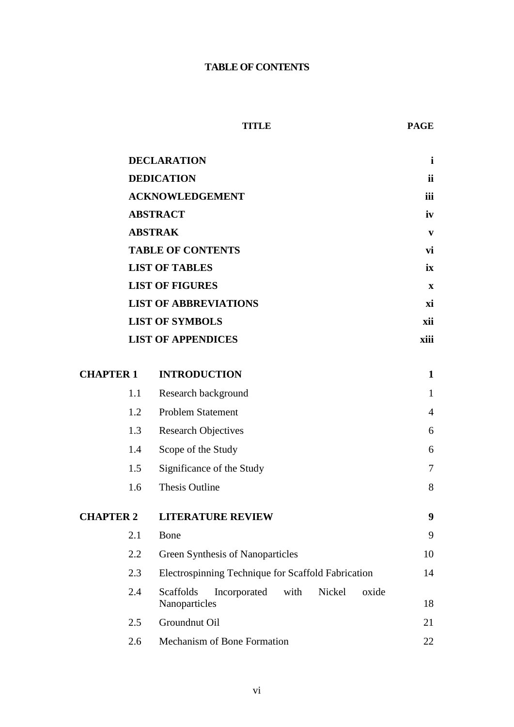## **TABLE OF CONTENTS**

<span id="page-5-0"></span>

|                  | <b>DECLARATION</b>                                     |                                                                       |                |
|------------------|--------------------------------------------------------|-----------------------------------------------------------------------|----------------|
|                  | <b>DEDICATION</b>                                      |                                                                       |                |
|                  | <b>ACKNOWLEDGEMENT</b>                                 |                                                                       |                |
|                  |                                                        | <b>ABSTRACT</b>                                                       | iv             |
|                  | <b>ABSTRAK</b>                                         |                                                                       |                |
|                  | <b>TABLE OF CONTENTS</b>                               |                                                                       |                |
|                  | <b>LIST OF TABLES</b>                                  |                                                                       |                |
|                  | <b>LIST OF FIGURES</b>                                 |                                                                       |                |
|                  | <b>LIST OF ABBREVIATIONS</b><br><b>LIST OF SYMBOLS</b> |                                                                       |                |
|                  |                                                        |                                                                       |                |
|                  |                                                        | <b>LIST OF APPENDICES</b>                                             | xiii           |
|                  |                                                        |                                                                       |                |
| <b>CHAPTER 1</b> |                                                        | <b>INTRODUCTION</b>                                                   | $\mathbf{1}$   |
|                  | 1.1                                                    | Research background                                                   | $\mathbf{1}$   |
|                  | 1.2                                                    | <b>Problem Statement</b>                                              | $\overline{4}$ |
|                  | 1.3                                                    | <b>Research Objectives</b>                                            | 6              |
|                  | 1.4<br>Scope of the Study                              |                                                                       | 6              |
|                  | Significance of the Study<br>1.5                       |                                                                       | $\overline{7}$ |
|                  | 1.6                                                    | <b>Thesis Outline</b>                                                 | 8              |
| <b>CHAPTER 2</b> |                                                        | <b>LITERATURE REVIEW</b>                                              | 9              |
|                  | 2.1                                                    | Bone                                                                  | 9              |
|                  | 2.2                                                    | <b>Green Synthesis of Nanoparticles</b>                               | 10             |
|                  | 2.3                                                    | Electrospinning Technique for Scaffold Fabrication                    | 14             |
|                  | 2.4                                                    | Scaffolds<br>Incorporated<br>with<br>Nickel<br>oxide<br>Nanoparticles | 18             |
|                  | 2.5                                                    | Groundnut Oil                                                         | 21             |
|                  | 2.6                                                    | Mechanism of Bone Formation                                           | 22             |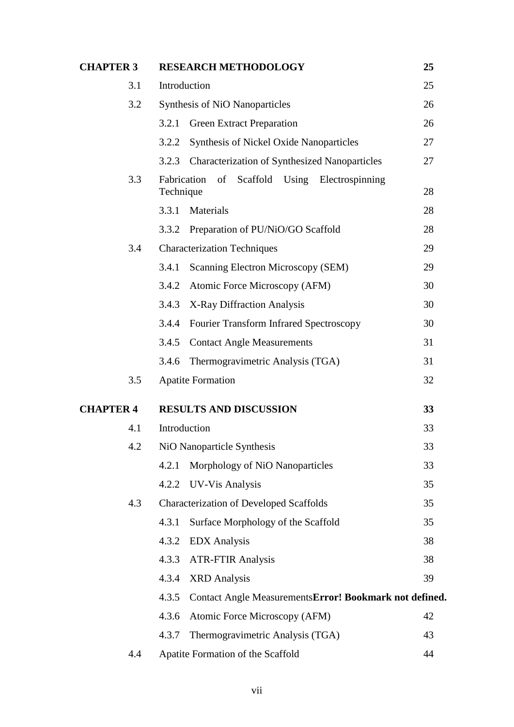| <b>CHAPTER 3</b> | <b>RESEARCH METHODOLOGY</b>                                     | 25 |
|------------------|-----------------------------------------------------------------|----|
| 3.1              | Introduction                                                    | 25 |
| 3.2              | <b>Synthesis of NiO Nanoparticles</b>                           |    |
|                  | <b>Green Extract Preparation</b><br>3.2.1                       | 26 |
|                  | <b>Synthesis of Nickel Oxide Nanoparticles</b><br>3.2.2         | 27 |
|                  | <b>Characterization of Synthesized Nanoparticles</b><br>3.2.3   | 27 |
| 3.3              | of Scaffold Using Electrospinning<br>Fabrication<br>Technique   | 28 |
|                  | 3.3.1<br>Materials                                              | 28 |
|                  | 3.3.2<br>Preparation of PU/NiO/GO Scaffold                      | 28 |
| 3.4              | <b>Characterization Techniques</b>                              | 29 |
|                  | Scanning Electron Microscopy (SEM)<br>3.4.1                     | 29 |
|                  | Atomic Force Microscopy (AFM)<br>3.4.2                          | 30 |
|                  | X-Ray Diffraction Analysis<br>3.4.3                             | 30 |
|                  | <b>Fourier Transform Infrared Spectroscopy</b><br>3.4.4         | 30 |
|                  | 3.4.5<br><b>Contact Angle Measurements</b>                      | 31 |
|                  | 3.4.6<br>Thermogravimetric Analysis (TGA)                       | 31 |
| 3.5              | <b>Apatite Formation</b>                                        | 32 |
| <b>CHAPTER 4</b> | <b>RESULTS AND DISCUSSION</b>                                   | 33 |
| 4.1              | Introduction                                                    | 33 |
| 4.2              | NiO Nanoparticle Synthesis                                      | 33 |
|                  | Morphology of NiO Nanoparticles<br>4.2.1                        | 33 |
|                  | 4.2.2 UV-Vis Analysis                                           | 35 |
| 4.3              | <b>Characterization of Developed Scaffolds</b>                  | 35 |
|                  | Surface Morphology of the Scaffold<br>4.3.1                     | 35 |
|                  | 4.3.2<br><b>EDX</b> Analysis                                    | 38 |
|                  | 4.3.3<br><b>ATR-FTIR Analysis</b>                               | 38 |
|                  | 4.3.4<br><b>XRD</b> Analysis                                    | 39 |
|                  | 4.3.5<br>Contact Angle MeasurementsError! Bookmark not defined. |    |
|                  | 4.3.6<br>Atomic Force Microscopy (AFM)                          | 42 |
|                  | 4.3.7<br>Thermogravimetric Analysis (TGA)                       | 43 |
| 4.4              | Apatite Formation of the Scaffold                               | 44 |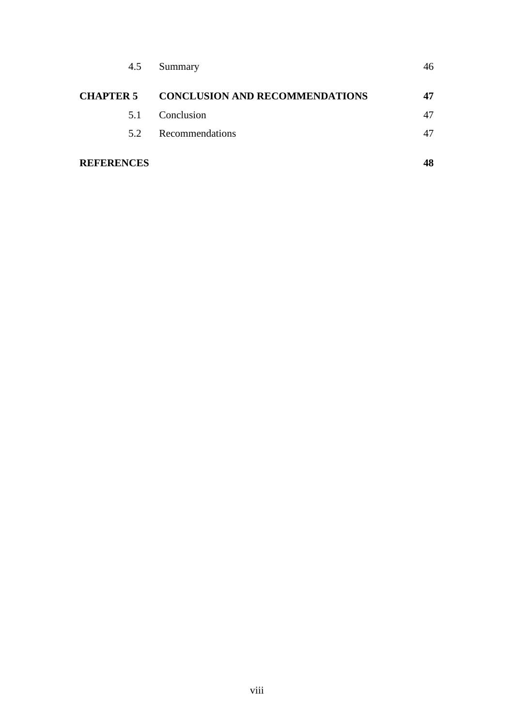| 4.5               | Summary                                         | 46 |
|-------------------|-------------------------------------------------|----|
|                   | <b>CHAPTER 5 CONCLUSION AND RECOMMENDATIONS</b> | 47 |
| 5.1               | Conclusion                                      | 47 |
| 5.2               | Recommendations                                 | 47 |
| <b>REFERENCES</b> |                                                 | 48 |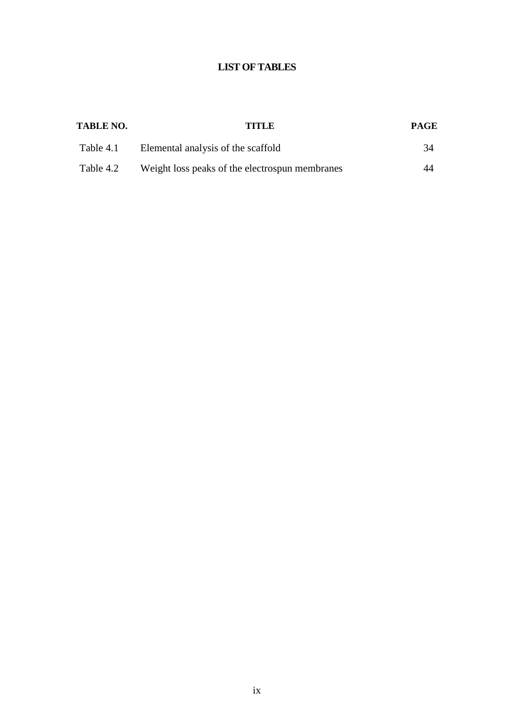## **LIST OF TABLES**

<span id="page-8-0"></span>

| <b>TABLE NO.</b> | TITLE.                                         | <b>PAGE</b> |
|------------------|------------------------------------------------|-------------|
| Table 4.1        | Elemental analysis of the scaffold             | 34          |
| Table 4.2        | Weight loss peaks of the electrospun membranes | 44          |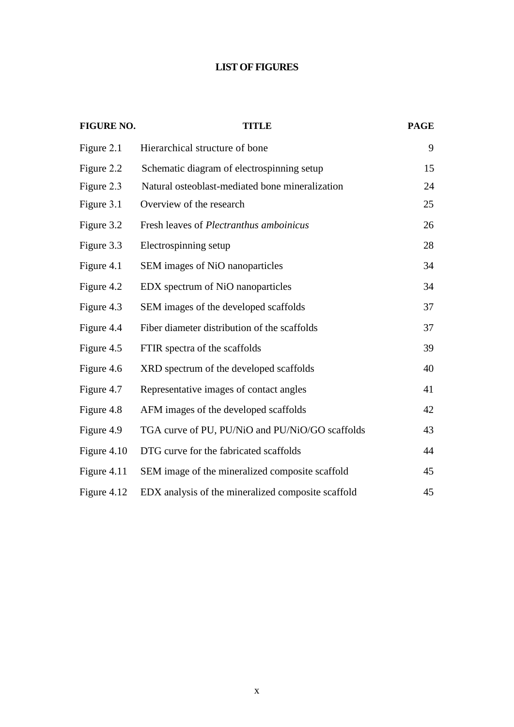## **LIST OF FIGURES**

<span id="page-9-0"></span>

| <b>FIGURE NO.</b> | <b>TITLE</b>                                       | <b>PAGE</b> |
|-------------------|----------------------------------------------------|-------------|
| Figure 2.1        | Hierarchical structure of bone                     | 9           |
| Figure 2.2        | Schematic diagram of electrospinning setup         | 15          |
| Figure 2.3        | Natural osteoblast-mediated bone mineralization    | 24          |
| Figure 3.1        | Overview of the research                           | 25          |
| Figure 3.2        | Fresh leaves of <i>Plectranthus amboinicus</i>     | 26          |
| Figure 3.3        | Electrospinning setup                              | 28          |
| Figure 4.1        | SEM images of NiO nanoparticles                    | 34          |
| Figure 4.2        | EDX spectrum of NiO nanoparticles                  | 34          |
| Figure 4.3        | SEM images of the developed scaffolds              | 37          |
| Figure 4.4        | Fiber diameter distribution of the scaffolds       | 37          |
| Figure 4.5        | FTIR spectra of the scaffolds                      | 39          |
| Figure 4.6        | XRD spectrum of the developed scaffolds            | 40          |
| Figure 4.7        | Representative images of contact angles            | 41          |
| Figure 4.8        | AFM images of the developed scaffolds              | 42          |
| Figure 4.9        | TGA curve of PU, PU/NiO and PU/NiO/GO scaffolds    | 43          |
| Figure 4.10       | DTG curve for the fabricated scaffolds             | 44          |
| Figure 4.11       | SEM image of the mineralized composite scaffold    | 45          |
| Figure 4.12       | EDX analysis of the mineralized composite scaffold | 45          |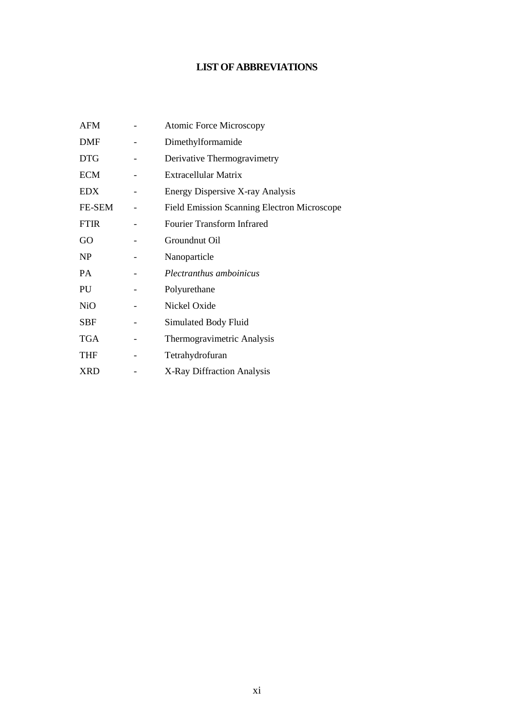## **LIST OF ABBREVIATIONS**

<span id="page-10-0"></span>

| <b>AFM</b>       | <b>Atomic Force Microscopy</b>                     |
|------------------|----------------------------------------------------|
| DMF              | Dimethylformamide                                  |
| <b>DTG</b>       | Derivative Thermogravimetry                        |
| <b>ECM</b>       | Extracellular Matrix                               |
| EDX              | Energy Dispersive X-ray Analysis                   |
| FE-SEM           | <b>Field Emission Scanning Electron Microscope</b> |
| <b>FTIR</b>      | Fourier Transform Infrared                         |
| GO               | Groundnut Oil                                      |
| N <sub>P</sub>   | Nanoparticle                                       |
| PA               | Plectranthus amboinicus                            |
| PU               | Polyurethane                                       |
| N <sub>i</sub> O | Nickel Oxide                                       |
| <b>SBF</b>       | Simulated Body Fluid                               |
| TGA              | Thermogravimetric Analysis                         |
| <b>THF</b>       | Tetrahydrofuran                                    |
| XRD              | X-Ray Diffraction Analysis                         |
|                  |                                                    |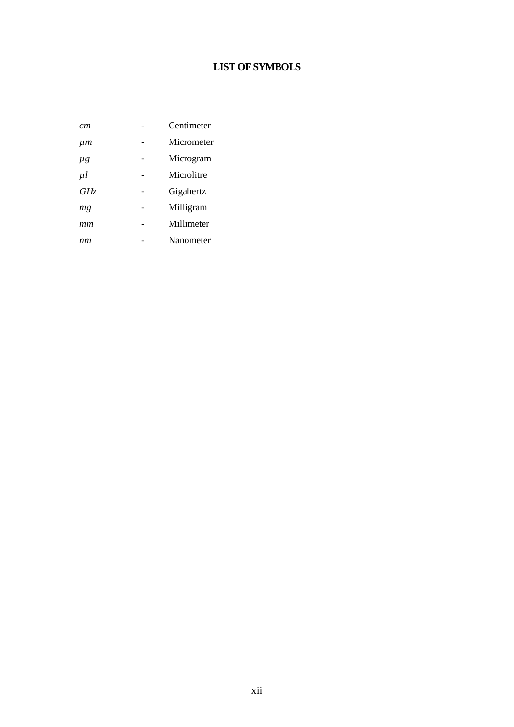## **LIST OF SYMBOLS**

<span id="page-11-0"></span>

| cт      | Centimeter |
|---------|------------|
| μm      | Micrometer |
| $\mu$ g | Microgram  |
| $\mu$   | Microlitre |
| GHz     | Gigahertz  |
| mg      | Milligram  |
| mm      | Millimeter |
| nm      | Nanometer  |
|         |            |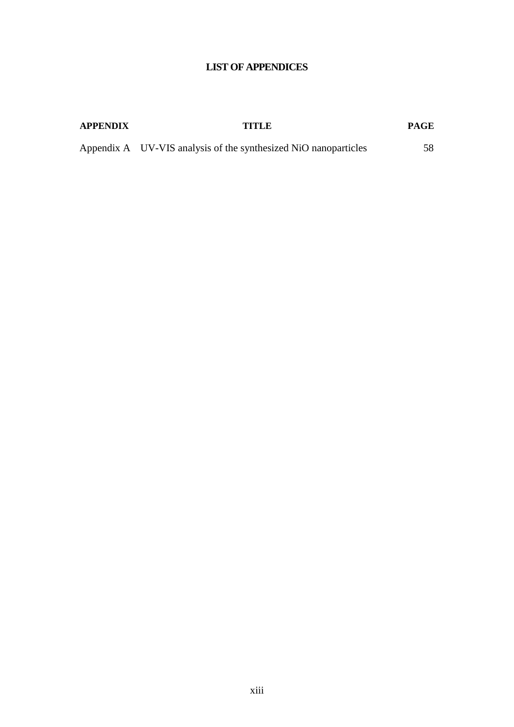## **LIST OF APPENDICES**

### <span id="page-12-0"></span>**APPENDIX TITLE PAGE**

Appendix A UV-VIS analysis of the synthesized NiO nanoparticles 58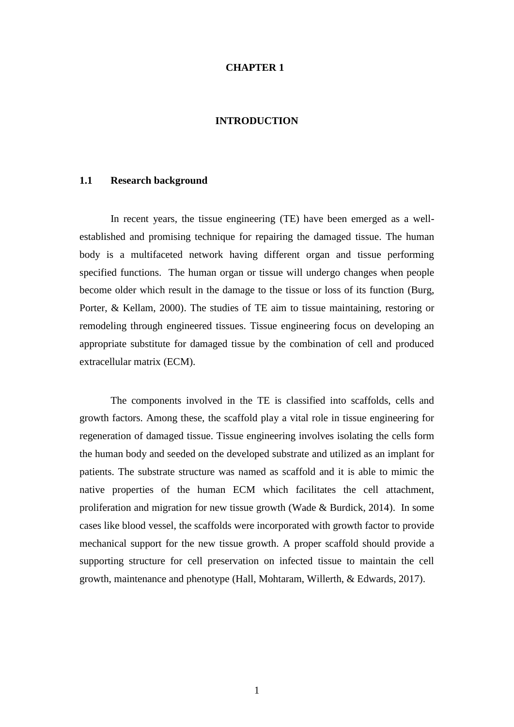#### **CHAPTER 1**

#### **INTRODUCTION**

#### <span id="page-13-1"></span><span id="page-13-0"></span>**1.1 Research background**

In recent years, the tissue engineering (TE) have been emerged as a wellestablished and promising technique for repairing the damaged tissue. The human body is a multifaceted network having different organ and tissue performing specified functions. The human organ or tissue will undergo changes when people become older which result in the damage to the tissue or loss of its function (Burg, Porter, & Kellam, 2000). The studies of TE aim to tissue maintaining, restoring or remodeling through engineered tissues. Tissue engineering focus on developing an appropriate substitute for damaged tissue by the combination of cell and produced extracellular matrix (ECM).

The components involved in the TE is classified into scaffolds, cells and growth factors. Among these, the scaffold play a vital role in tissue engineering for regeneration of damaged tissue. Tissue engineering involves isolating the cells form the human body and seeded on the developed substrate and utilized as an implant for patients. The substrate structure was named as scaffold and it is able to mimic the native properties of the human ECM which facilitates the cell attachment, proliferation and migration for new tissue growth (Wade & Burdick, 2014). In some cases like blood vessel, the scaffolds were incorporated with growth factor to provide mechanical support for the new tissue growth. A proper scaffold should provide a supporting structure for cell preservation on infected tissue to maintain the cell growth, maintenance and phenotype (Hall, Mohtaram, Willerth, & Edwards, 2017).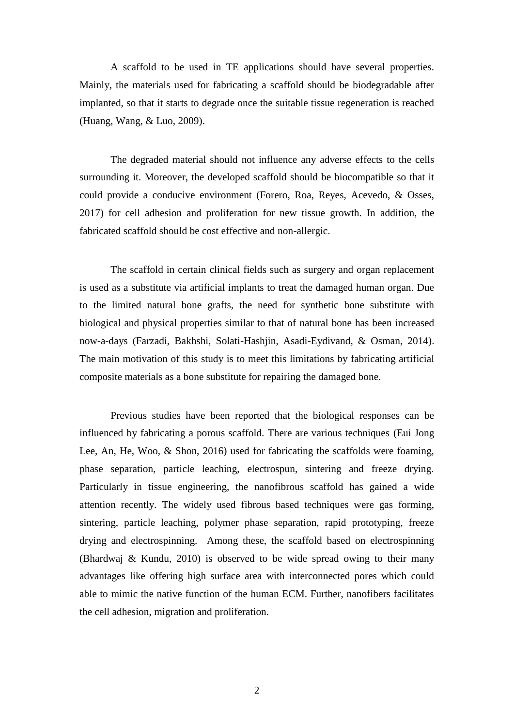A scaffold to be used in TE applications should have several properties. Mainly, the materials used for fabricating a scaffold should be biodegradable after implanted, so that it starts to degrade once the suitable tissue regeneration is reached (Huang, Wang, & Luo, 2009).

The degraded material should not influence any adverse effects to the cells surrounding it. Moreover, the developed scaffold should be biocompatible so that it could provide a conducive environment (Forero, Roa, Reyes, Acevedo, & Osses, 2017) for cell adhesion and proliferation for new tissue growth. In addition, the fabricated scaffold should be cost effective and non-allergic.

The scaffold in certain clinical fields such as surgery and organ replacement is used as a substitute via artificial implants to treat the damaged human organ. Due to the limited natural bone grafts, the need for synthetic bone substitute with biological and physical properties similar to that of natural bone has been increased now-a-days (Farzadi, Bakhshi, Solati-Hashjin, Asadi-Eydivand, & Osman, 2014). The main motivation of this study is to meet this limitations by fabricating artificial composite materials as a bone substitute for repairing the damaged bone.

Previous studies have been reported that the biological responses can be influenced by fabricating a porous scaffold. There are various techniques (Eui Jong Lee, An, He, Woo, & Shon, 2016) used for fabricating the scaffolds were foaming, phase separation, particle leaching, electrospun, sintering and freeze drying. Particularly in tissue engineering, the nanofibrous scaffold has gained a wide attention recently. The widely used fibrous based techniques were gas forming, sintering, particle leaching, polymer phase separation, rapid prototyping, freeze drying and electrospinning. Among these, the scaffold based on electrospinning (Bhardwaj & Kundu, 2010) is observed to be wide spread owing to their many advantages like offering high surface area with interconnected pores which could able to mimic the native function of the human ECM. Further, nanofibers facilitates the cell adhesion, migration and proliferation.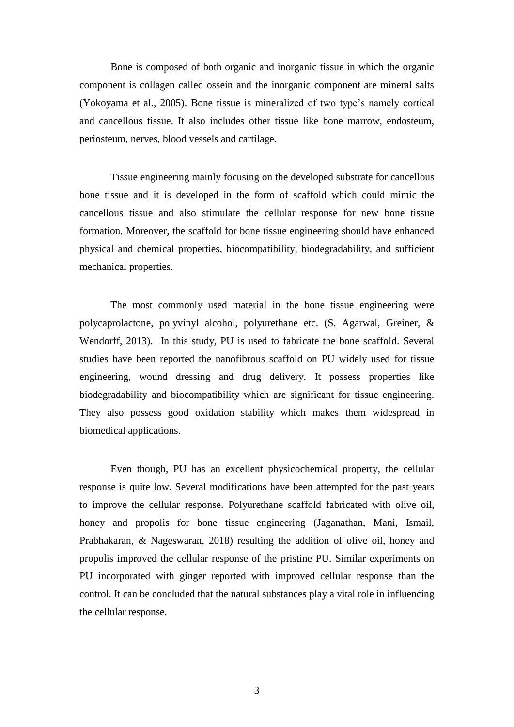Bone is composed of both organic and inorganic tissue in which the organic component is collagen called ossein and the inorganic component are mineral salts (Yokoyama et al., 2005). Bone tissue is mineralized of two type's namely cortical and cancellous tissue. It also includes other tissue like bone marrow, endosteum, periosteum, nerves, blood vessels and cartilage.

Tissue engineering mainly focusing on the developed substrate for cancellous bone tissue and it is developed in the form of scaffold which could mimic the cancellous tissue and also stimulate the cellular response for new bone tissue formation. Moreover, the scaffold for bone tissue engineering should have enhanced physical and chemical properties, biocompatibility, biodegradability, and sufficient mechanical properties.

The most commonly used material in the bone tissue engineering were polycaprolactone, polyvinyl alcohol, polyurethane etc. (S. Agarwal, Greiner, & Wendorff, 2013). In this study, PU is used to fabricate the bone scaffold. Several studies have been reported the nanofibrous scaffold on PU widely used for tissue engineering, wound dressing and drug delivery. It possess properties like biodegradability and biocompatibility which are significant for tissue engineering. They also possess good oxidation stability which makes them widespread in biomedical applications.

Even though, PU has an excellent physicochemical property, the cellular response is quite low. Several modifications have been attempted for the past years to improve the cellular response. Polyurethane scaffold fabricated with olive oil, honey and propolis for bone tissue engineering (Jaganathan, Mani, Ismail, Prabhakaran, & Nageswaran, 2018) resulting the addition of olive oil, honey and propolis improved the cellular response of the pristine PU. Similar experiments on PU incorporated with ginger reported with improved cellular response than the control. It can be concluded that the natural substances play a vital role in influencing the cellular response.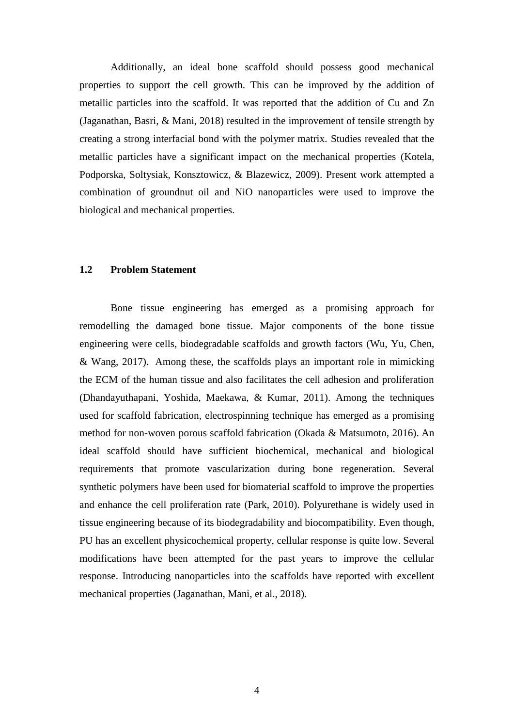Additionally, an ideal bone scaffold should possess good mechanical properties to support the cell growth. This can be improved by the addition of metallic particles into the scaffold. It was reported that the addition of Cu and Zn (Jaganathan, Basri, & Mani, 2018) resulted in the improvement of tensile strength by creating a strong interfacial bond with the polymer matrix. Studies revealed that the metallic particles have a significant impact on the mechanical properties (Kotela, Podporska, Soltysiak, Konsztowicz, & Blazewicz, 2009). Present work attempted a combination of groundnut oil and NiO nanoparticles were used to improve the biological and mechanical properties.

### <span id="page-16-0"></span>**1.2 Problem Statement**

Bone tissue engineering has emerged as a promising approach for remodelling the damaged bone tissue. Major components of the bone tissue engineering were cells, biodegradable scaffolds and growth factors (Wu, Yu, Chen, & Wang, 2017). Among these, the scaffolds plays an important role in mimicking the ECM of the human tissue and also facilitates the cell adhesion and proliferation (Dhandayuthapani, Yoshida, Maekawa, & Kumar, 2011). Among the techniques used for scaffold fabrication, electrospinning technique has emerged as a promising method for non-woven porous scaffold fabrication (Okada & Matsumoto, 2016). An ideal scaffold should have sufficient biochemical, mechanical and biological requirements that promote vascularization during bone regeneration. Several synthetic polymers have been used for biomaterial scaffold to improve the properties and enhance the cell proliferation rate (Park, 2010). Polyurethane is widely used in tissue engineering because of its biodegradability and biocompatibility. Even though, PU has an excellent physicochemical property, cellular response is quite low. Several modifications have been attempted for the past years to improve the cellular response. Introducing nanoparticles into the scaffolds have reported with excellent mechanical properties (Jaganathan, Mani, et al., 2018).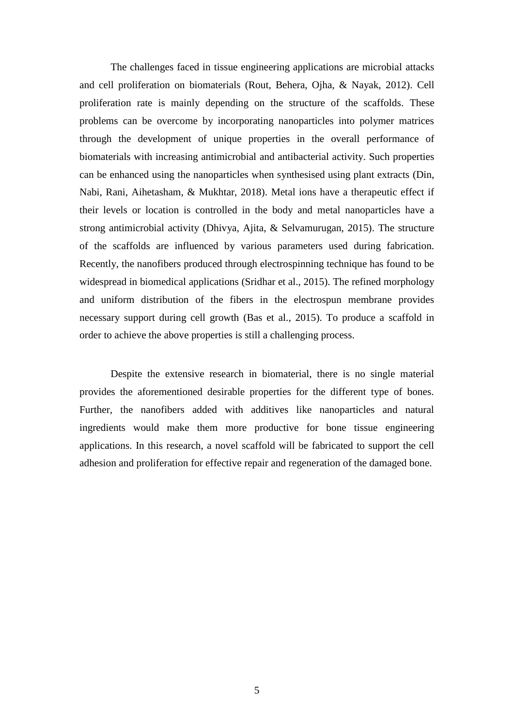The challenges faced in tissue engineering applications are microbial attacks and cell proliferation on biomaterials (Rout, Behera, Ojha, & Nayak, 2012). Cell proliferation rate is mainly depending on the structure of the scaffolds. These problems can be overcome by incorporating nanoparticles into polymer matrices through the development of unique properties in the overall performance of biomaterials with increasing antimicrobial and antibacterial activity. Such properties can be enhanced using the nanoparticles when synthesised using plant extracts (Din, Nabi, Rani, Aihetasham, & Mukhtar, 2018). Metal ions have a therapeutic effect if their levels or location is controlled in the body and metal nanoparticles have a strong antimicrobial activity (Dhivya, Ajita, & Selvamurugan, 2015). The structure of the scaffolds are influenced by various parameters used during fabrication. Recently, the nanofibers produced through electrospinning technique has found to be widespread in biomedical applications (Sridhar et al., 2015). The refined morphology and uniform distribution of the fibers in the electrospun membrane provides necessary support during cell growth (Bas et al., 2015). To produce a scaffold in order to achieve the above properties is still a challenging process.

Despite the extensive research in biomaterial, there is no single material provides the aforementioned desirable properties for the different type of bones. Further, the nanofibers added with additives like nanoparticles and natural ingredients would make them more productive for bone tissue engineering applications. In this research, a novel scaffold will be fabricated to support the cell adhesion and proliferation for effective repair and regeneration of the damaged bone.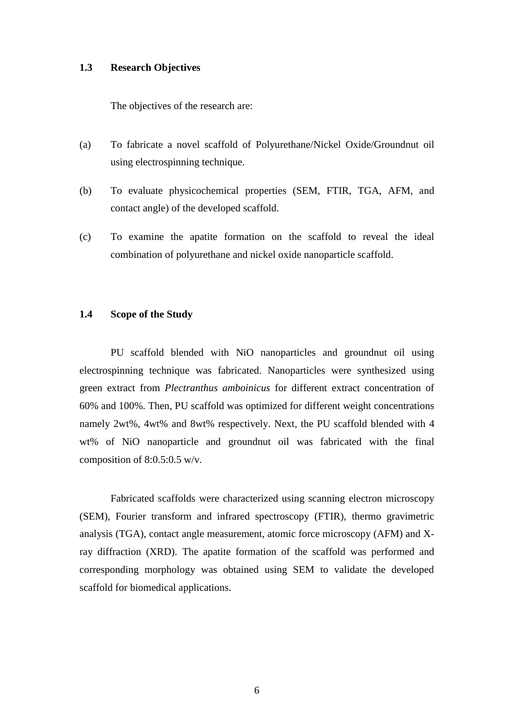### <span id="page-18-0"></span>**1.3 Research Objectives**

The objectives of the research are:

- (a) To fabricate a novel scaffold of Polyurethane/Nickel Oxide/Groundnut oil using electrospinning technique.
- (b) To evaluate physicochemical properties (SEM, FTIR, TGA, AFM, and contact angle) of the developed scaffold.
- (c) To examine the apatite formation on the scaffold to reveal the ideal combination of polyurethane and nickel oxide nanoparticle scaffold.

#### <span id="page-18-1"></span>**1.4 Scope of the Study**

PU scaffold blended with NiO nanoparticles and groundnut oil using electrospinning technique was fabricated. Nanoparticles were synthesized using green extract from *Plectranthus amboinicus* for different extract concentration of 60% and 100%. Then, PU scaffold was optimized for different weight concentrations namely 2wt%, 4wt% and 8wt% respectively. Next, the PU scaffold blended with 4 wt% of NiO nanoparticle and groundnut oil was fabricated with the final composition of 8:0.5:0.5 w/v.

Fabricated scaffolds were characterized using scanning electron microscopy (SEM), Fourier transform and infrared spectroscopy (FTIR), thermo gravimetric analysis (TGA), contact angle measurement, atomic force microscopy (AFM) and Xray diffraction (XRD). The apatite formation of the scaffold was performed and corresponding morphology was obtained using SEM to validate the developed scaffold for biomedical applications.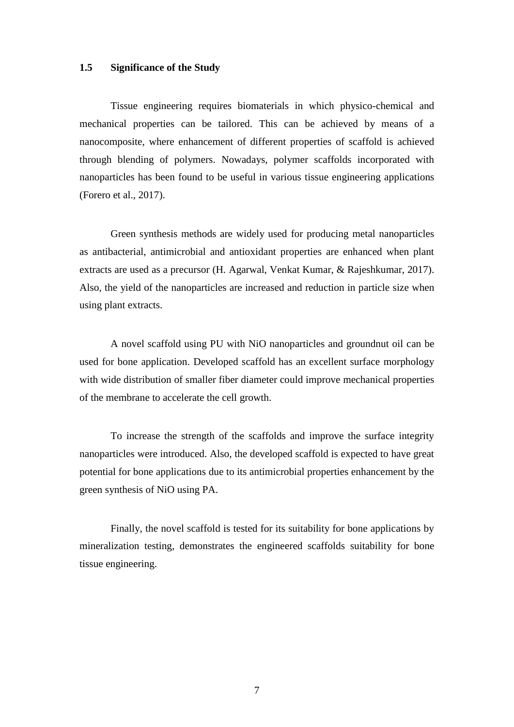#### <span id="page-19-0"></span>**1.5 Significance of the Study**

Tissue engineering requires biomaterials in which physico-chemical and mechanical properties can be tailored. This can be achieved by means of a nanocomposite, where enhancement of different properties of scaffold is achieved through blending of polymers. Nowadays, polymer scaffolds incorporated with nanoparticles has been found to be useful in various tissue engineering applications (Forero et al., 2017).

Green synthesis methods are widely used for producing metal nanoparticles as antibacterial, antimicrobial and antioxidant properties are enhanced when plant extracts are used as a precursor (H. Agarwal, Venkat Kumar, & Rajeshkumar, 2017). Also, the yield of the nanoparticles are increased and reduction in particle size when using plant extracts.

A novel scaffold using PU with NiO nanoparticles and groundnut oil can be used for bone application. Developed scaffold has an excellent surface morphology with wide distribution of smaller fiber diameter could improve mechanical properties of the membrane to accelerate the cell growth.

<span id="page-19-1"></span>To increase the strength of the scaffolds and improve the surface integrity nanoparticles were introduced. Also, the developed scaffold is expected to have great potential for bone applications due to its antimicrobial properties enhancement by the green synthesis of NiO using PA.

Finally, the novel scaffold is tested for its suitability for bone applications by mineralization testing, demonstrates the engineered scaffolds suitability for bone tissue engineering.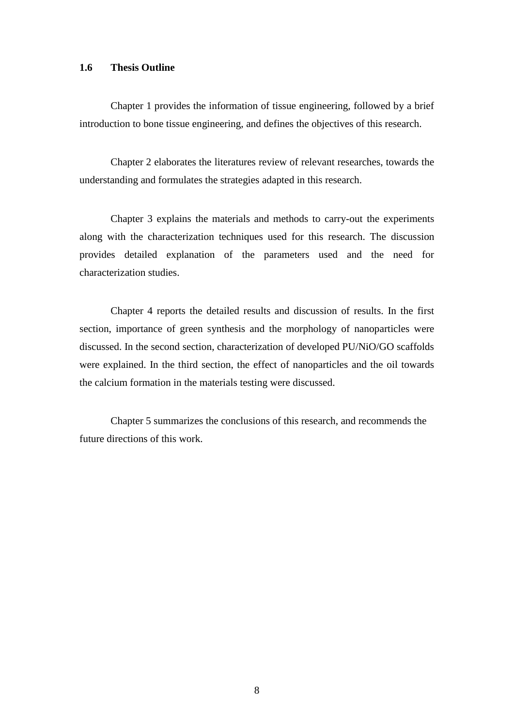#### <span id="page-20-0"></span>**1.6 Thesis Outline**

Chapter 1 provides the information of tissue engineering, followed by a brief introduction to bone tissue engineering, and defines the objectives of this research.

Chapter 2 elaborates the literatures review of relevant researches, towards the understanding and formulates the strategies adapted in this research.

Chapter 3 explains the materials and methods to carry-out the experiments along with the characterization techniques used for this research. The discussion provides detailed explanation of the parameters used and the need for characterization studies.

Chapter 4 reports the detailed results and discussion of results. In the first section, importance of green synthesis and the morphology of nanoparticles were discussed. In the second section, characterization of developed PU/NiO/GO scaffolds were explained. In the third section, the effect of nanoparticles and the oil towards the calcium formation in the materials testing were discussed.

Chapter 5 summarizes the conclusions of this research, and recommends the future directions of this work.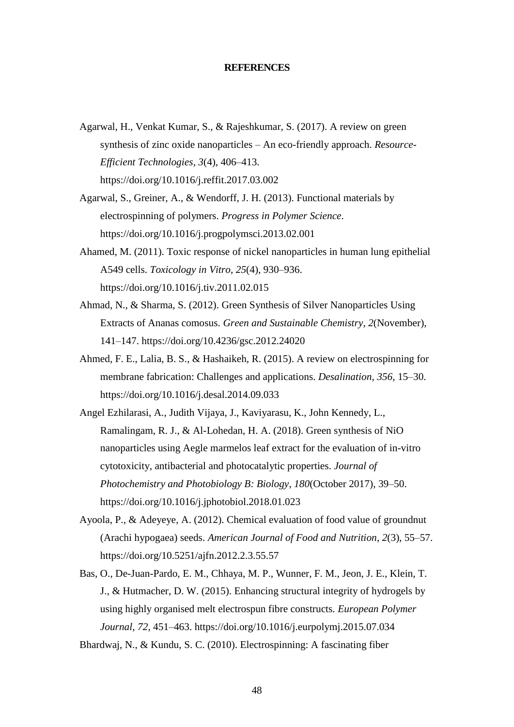#### **REFERENCES**

- <span id="page-21-0"></span>Agarwal, H., Venkat Kumar, S., & Rajeshkumar, S. (2017). A review on green synthesis of zinc oxide nanoparticles – An eco-friendly approach. *Resource-Efficient Technologies*, *3*(4), 406–413. https://doi.org/10.1016/j.reffit.2017.03.002
- Agarwal, S., Greiner, A., & Wendorff, J. H. (2013). Functional materials by electrospinning of polymers. *Progress in Polymer Science*. https://doi.org/10.1016/j.progpolymsci.2013.02.001
- Ahamed, M. (2011). Toxic response of nickel nanoparticles in human lung epithelial A549 cells. *Toxicology in Vitro*, *25*(4), 930–936. https://doi.org/10.1016/j.tiv.2011.02.015
- Ahmad, N., & Sharma, S. (2012). Green Synthesis of Silver Nanoparticles Using Extracts of Ananas comosus. *Green and Sustainable Chemistry*, *2*(November), 141–147. https://doi.org/10.4236/gsc.2012.24020
- Ahmed, F. E., Lalia, B. S., & Hashaikeh, R. (2015). A review on electrospinning for membrane fabrication: Challenges and applications. *Desalination*, *356*, 15–30. https://doi.org/10.1016/j.desal.2014.09.033
- Angel Ezhilarasi, A., Judith Vijaya, J., Kaviyarasu, K., John Kennedy, L., Ramalingam, R. J., & Al-Lohedan, H. A. (2018). Green synthesis of NiO nanoparticles using Aegle marmelos leaf extract for the evaluation of in-vitro cytotoxicity, antibacterial and photocatalytic properties. *Journal of Photochemistry and Photobiology B: Biology*, *180*(October 2017), 39–50. https://doi.org/10.1016/j.jphotobiol.2018.01.023
- Ayoola, P., & Adeyeye, A. (2012). Chemical evaluation of food value of groundnut (Arachi hypogaea) seeds. *American Journal of Food and Nutrition*, *2*(3), 55–57. https://doi.org/10.5251/ajfn.2012.2.3.55.57
- Bas, O., De-Juan-Pardo, E. M., Chhaya, M. P., Wunner, F. M., Jeon, J. E., Klein, T. J., & Hutmacher, D. W. (2015). Enhancing structural integrity of hydrogels by using highly organised melt electrospun fibre constructs. *European Polymer Journal*, *72*, 451–463. https://doi.org/10.1016/j.eurpolymj.2015.07.034

Bhardwaj, N., & Kundu, S. C. (2010). Electrospinning: A fascinating fiber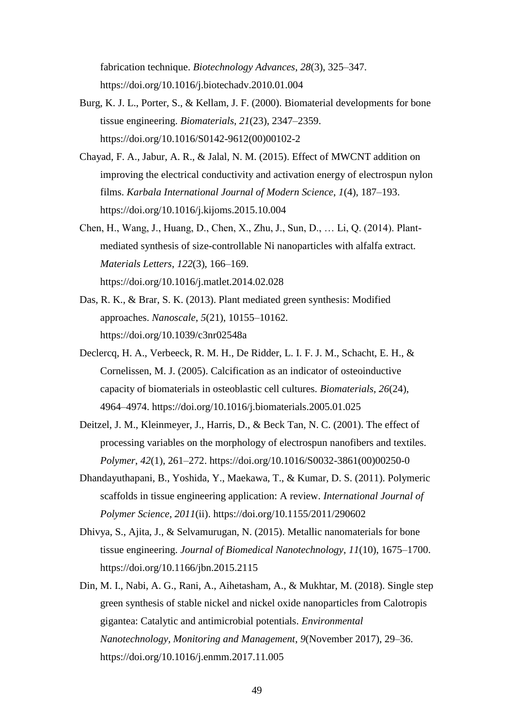fabrication technique. *Biotechnology Advances*, *28*(3), 325–347. https://doi.org/10.1016/j.biotechadv.2010.01.004

- Burg, K. J. L., Porter, S., & Kellam, J. F. (2000). Biomaterial developments for bone tissue engineering. *Biomaterials*, *21*(23), 2347–2359. https://doi.org/10.1016/S0142-9612(00)00102-2
- Chayad, F. A., Jabur, A. R., & Jalal, N. M. (2015). Effect of MWCNT addition on improving the electrical conductivity and activation energy of electrospun nylon films. *Karbala International Journal of Modern Science*, *1*(4), 187–193. https://doi.org/10.1016/j.kijoms.2015.10.004
- Chen, H., Wang, J., Huang, D., Chen, X., Zhu, J., Sun, D., … Li, Q. (2014). Plantmediated synthesis of size-controllable Ni nanoparticles with alfalfa extract. *Materials Letters*, *122*(3), 166–169. https://doi.org/10.1016/j.matlet.2014.02.028
- Das, R. K., & Brar, S. K. (2013). Plant mediated green synthesis: Modified approaches. *Nanoscale*, *5*(21), 10155–10162. https://doi.org/10.1039/c3nr02548a
- Declercq, H. A., Verbeeck, R. M. H., De Ridder, L. I. F. J. M., Schacht, E. H., & Cornelissen, M. J. (2005). Calcification as an indicator of osteoinductive capacity of biomaterials in osteoblastic cell cultures. *Biomaterials*, *26*(24), 4964–4974. https://doi.org/10.1016/j.biomaterials.2005.01.025
- Deitzel, J. M., Kleinmeyer, J., Harris, D., & Beck Tan, N. C. (2001). The effect of processing variables on the morphology of electrospun nanofibers and textiles. *Polymer*, *42*(1), 261–272. https://doi.org/10.1016/S0032-3861(00)00250-0
- Dhandayuthapani, B., Yoshida, Y., Maekawa, T., & Kumar, D. S. (2011). Polymeric scaffolds in tissue engineering application: A review. *International Journal of Polymer Science*, *2011*(ii). https://doi.org/10.1155/2011/290602
- Dhivya, S., Ajita, J., & Selvamurugan, N. (2015). Metallic nanomaterials for bone tissue engineering. *Journal of Biomedical Nanotechnology*, *11*(10), 1675–1700. https://doi.org/10.1166/jbn.2015.2115
- Din, M. I., Nabi, A. G., Rani, A., Aihetasham, A., & Mukhtar, M. (2018). Single step green synthesis of stable nickel and nickel oxide nanoparticles from Calotropis gigantea: Catalytic and antimicrobial potentials. *Environmental Nanotechnology, Monitoring and Management*, *9*(November 2017), 29–36. https://doi.org/10.1016/j.enmm.2017.11.005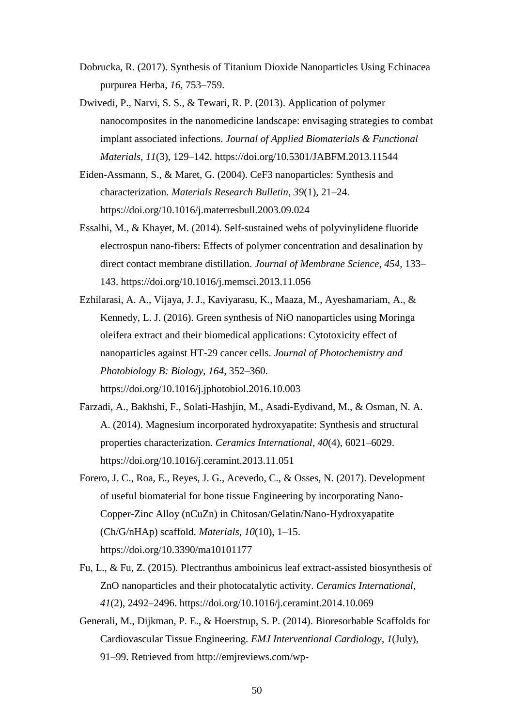- Dobrucka, R. (2017). Synthesis of Titanium Dioxide Nanoparticles Using Echinacea purpurea Herba, *16*, 753–759.
- Dwivedi, P., Narvi, S. S., & Tewari, R. P. (2013). Application of polymer nanocomposites in the nanomedicine landscape: envisaging strategies to combat implant associated infections. *Journal of Applied Biomaterials & Functional Materials*, *11*(3), 129–142. https://doi.org/10.5301/JABFM.2013.11544
- Eiden-Assmann, S., & Maret, G. (2004). CeF3 nanoparticles: Synthesis and characterization. *Materials Research Bulletin*, *39*(1), 21–24. https://doi.org/10.1016/j.materresbull.2003.09.024
- Essalhi, M., & Khayet, M. (2014). Self-sustained webs of polyvinylidene fluoride electrospun nano-fibers: Effects of polymer concentration and desalination by direct contact membrane distillation. *Journal of Membrane Science*, *454*, 133– 143. https://doi.org/10.1016/j.memsci.2013.11.056
- Ezhilarasi, A. A., Vijaya, J. J., Kaviyarasu, K., Maaza, M., Ayeshamariam, A., & Kennedy, L. J. (2016). Green synthesis of NiO nanoparticles using Moringa oleifera extract and their biomedical applications: Cytotoxicity effect of nanoparticles against HT-29 cancer cells. *Journal of Photochemistry and Photobiology B: Biology*, *164*, 352–360.

https://doi.org/10.1016/j.jphotobiol.2016.10.003

- Farzadi, A., Bakhshi, F., Solati-Hashjin, M., Asadi-Eydivand, M., & Osman, N. A. A. (2014). Magnesium incorporated hydroxyapatite: Synthesis and structural properties characterization. *Ceramics International*, *40*(4), 6021–6029. https://doi.org/10.1016/j.ceramint.2013.11.051
- Forero, J. C., Roa, E., Reyes, J. G., Acevedo, C., & Osses, N. (2017). Development of useful biomaterial for bone tissue Engineering by incorporating Nano-Copper-Zinc Alloy (nCuZn) in Chitosan/Gelatin/Nano-Hydroxyapatite (Ch/G/nHAp) scaffold. *Materials*, *10*(10), 1–15. https://doi.org/10.3390/ma10101177
- Fu, L., & Fu, Z. (2015). Plectranthus amboinicus leaf extract-assisted biosynthesis of ZnO nanoparticles and their photocatalytic activity. *Ceramics International*, *41*(2), 2492–2496. https://doi.org/10.1016/j.ceramint.2014.10.069
- Generali, M., Dijkman, P. E., & Hoerstrup, S. P. (2014). Bioresorbable Scaffolds for Cardiovascular Tissue Engineering. *EMJ Interventional Cardiology*, *1*(July), 91–99. Retrieved from http://emjreviews.com/wp-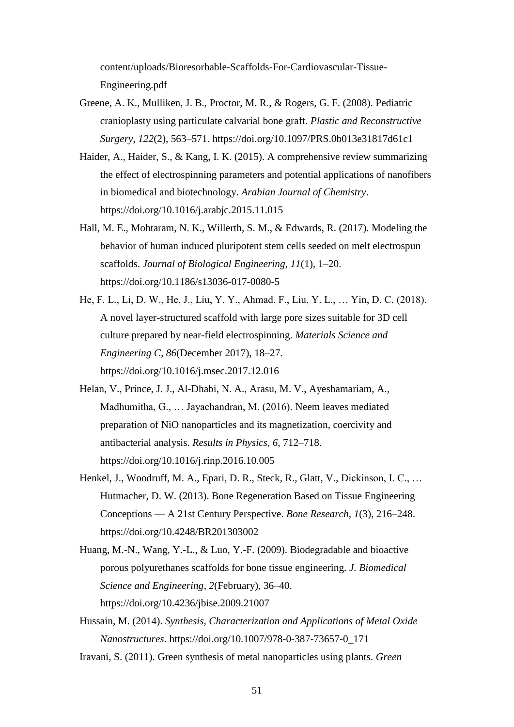content/uploads/Bioresorbable-Scaffolds-For-Cardiovascular-Tissue-Engineering.pdf

- Greene, A. K., Mulliken, J. B., Proctor, M. R., & Rogers, G. F. (2008). Pediatric cranioplasty using particulate calvarial bone graft. *Plastic and Reconstructive Surgery*, *122*(2), 563–571. https://doi.org/10.1097/PRS.0b013e31817d61c1
- Haider, A., Haider, S., & Kang, I. K. (2015). A comprehensive review summarizing the effect of electrospinning parameters and potential applications of nanofibers in biomedical and biotechnology. *Arabian Journal of Chemistry*. https://doi.org/10.1016/j.arabjc.2015.11.015
- Hall, M. E., Mohtaram, N. K., Willerth, S. M., & Edwards, R. (2017). Modeling the behavior of human induced pluripotent stem cells seeded on melt electrospun scaffolds. *Journal of Biological Engineering*, *11*(1), 1–20. https://doi.org/10.1186/s13036-017-0080-5
- He, F. L., Li, D. W., He, J., Liu, Y. Y., Ahmad, F., Liu, Y. L., … Yin, D. C. (2018). A novel layer-structured scaffold with large pore sizes suitable for 3D cell culture prepared by near-field electrospinning. *Materials Science and Engineering C*, *86*(December 2017), 18–27. https://doi.org/10.1016/j.msec.2017.12.016
- Helan, V., Prince, J. J., Al-Dhabi, N. A., Arasu, M. V., Ayeshamariam, A., Madhumitha, G., … Jayachandran, M. (2016). Neem leaves mediated preparation of NiO nanoparticles and its magnetization, coercivity and antibacterial analysis. *Results in Physics*, *6*, 712–718. https://doi.org/10.1016/j.rinp.2016.10.005
- Henkel, J., Woodruff, M. A., Epari, D. R., Steck, R., Glatt, V., Dickinson, I. C., … Hutmacher, D. W. (2013). Bone Regeneration Based on Tissue Engineering Conceptions — A 21st Century Perspective. *Bone Research*, *1*(3), 216–248. https://doi.org/10.4248/BR201303002
- Huang, M.-N., Wang, Y.-L., & Luo, Y.-F. (2009). Biodegradable and bioactive porous polyurethanes scaffolds for bone tissue engineering. *J. Biomedical Science and Engineering*, *2*(February), 36–40. https://doi.org/10.4236/jbise.2009.21007
- Hussain, M. (2014). *Synthesis, Characterization and Applications of Metal Oxide Nanostructures*. https://doi.org/10.1007/978-0-387-73657-0\_171
- Iravani, S. (2011). Green synthesis of metal nanoparticles using plants. *Green*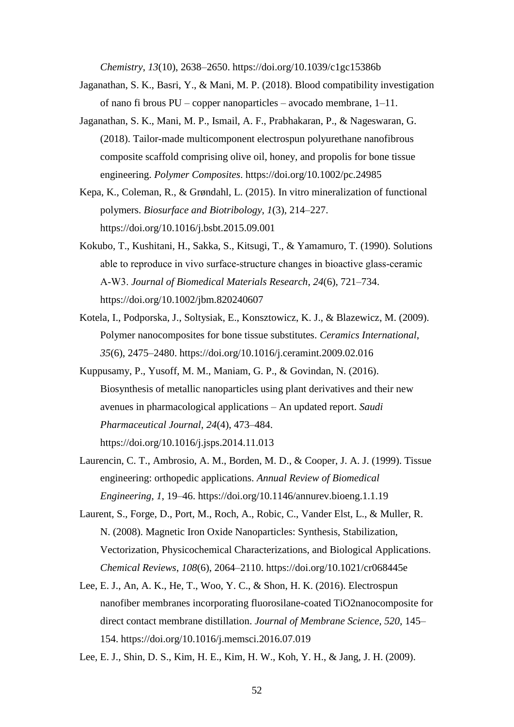*Chemistry*, *13*(10), 2638–2650. https://doi.org/10.1039/c1gc15386b

- Jaganathan, S. K., Basri, Y., & Mani, M. P. (2018). Blood compatibility investigation of nano fi brous PU – copper nanoparticles – avocado membrane, 1–11.
- Jaganathan, S. K., Mani, M. P., Ismail, A. F., Prabhakaran, P., & Nageswaran, G. (2018). Tailor-made multicomponent electrospun polyurethane nanofibrous composite scaffold comprising olive oil, honey, and propolis for bone tissue engineering. *Polymer Composites*. https://doi.org/10.1002/pc.24985
- Kepa, K., Coleman, R., & Grøndahl, L. (2015). In vitro mineralization of functional polymers. *Biosurface and Biotribology*, *1*(3), 214–227. https://doi.org/10.1016/j.bsbt.2015.09.001
- Kokubo, T., Kushitani, H., Sakka, S., Kitsugi, T., & Yamamuro, T. (1990). Solutions able to reproduce in vivo surface‐structure changes in bioactive glass‐ceramic A‐W3. *Journal of Biomedical Materials Research*, *24*(6), 721–734. https://doi.org/10.1002/jbm.820240607
- Kotela, I., Podporska, J., Soltysiak, E., Konsztowicz, K. J., & Blazewicz, M. (2009). Polymer nanocomposites for bone tissue substitutes. *Ceramics International*, *35*(6), 2475–2480. https://doi.org/10.1016/j.ceramint.2009.02.016
- Kuppusamy, P., Yusoff, M. M., Maniam, G. P., & Govindan, N. (2016). Biosynthesis of metallic nanoparticles using plant derivatives and their new avenues in pharmacological applications – An updated report. *Saudi Pharmaceutical Journal*, *24*(4), 473–484. https://doi.org/10.1016/j.jsps.2014.11.013
- Laurencin, C. T., Ambrosio, A. M., Borden, M. D., & Cooper, J. A. J. (1999). Tissue engineering: orthopedic applications. *Annual Review of Biomedical Engineering*, *1*, 19–46. https://doi.org/10.1146/annurev.bioeng.1.1.19
- Laurent, S., Forge, D., Port, M., Roch, A., Robic, C., Vander Elst, L., & Muller, R. N. (2008). Magnetic Iron Oxide Nanoparticles: Synthesis, Stabilization, Vectorization, Physicochemical Characterizations, and Biological Applications. *Chemical Reviews*, *108*(6), 2064–2110. https://doi.org/10.1021/cr068445e
- Lee, E. J., An, A. K., He, T., Woo, Y. C., & Shon, H. K. (2016). Electrospun nanofiber membranes incorporating fluorosilane-coated TiO2nanocomposite for direct contact membrane distillation. *Journal of Membrane Science*, *520*, 145– 154. https://doi.org/10.1016/j.memsci.2016.07.019

Lee, E. J., Shin, D. S., Kim, H. E., Kim, H. W., Koh, Y. H., & Jang, J. H. (2009).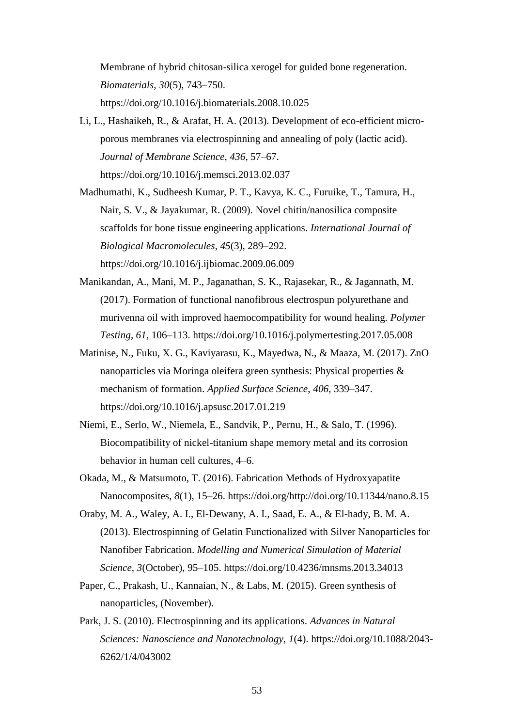Membrane of hybrid chitosan-silica xerogel for guided bone regeneration. *Biomaterials*, *30*(5), 743–750. https://doi.org/10.1016/j.biomaterials.2008.10.025

Li, L., Hashaikeh, R., & Arafat, H. A. (2013). Development of eco-efficient microporous membranes via electrospinning and annealing of poly (lactic acid). *Journal of Membrane Science*, *436*, 57–67.

https://doi.org/10.1016/j.memsci.2013.02.037

- Madhumathi, K., Sudheesh Kumar, P. T., Kavya, K. C., Furuike, T., Tamura, H., Nair, S. V., & Jayakumar, R. (2009). Novel chitin/nanosilica composite scaffolds for bone tissue engineering applications. *International Journal of Biological Macromolecules*, *45*(3), 289–292. https://doi.org/10.1016/j.ijbiomac.2009.06.009
- Manikandan, A., Mani, M. P., Jaganathan, S. K., Rajasekar, R., & Jagannath, M. (2017). Formation of functional nanofibrous electrospun polyurethane and murivenna oil with improved haemocompatibility for wound healing. *Polymer Testing*, *61*, 106–113. https://doi.org/10.1016/j.polymertesting.2017.05.008
- Matinise, N., Fuku, X. G., Kaviyarasu, K., Mayedwa, N., & Maaza, M. (2017). ZnO nanoparticles via Moringa oleifera green synthesis: Physical properties & mechanism of formation. *Applied Surface Science*, *406*, 339–347. https://doi.org/10.1016/j.apsusc.2017.01.219
- Niemi, E., Serlo, W., Niemela, E., Sandvik, P., Pernu, H., & Salo, T. (1996). Biocompatibility of nickel-titanium shape memory metal and its corrosion behavior in human cell cultures, 4–6.
- Okada, M., & Matsumoto, T. (2016). Fabrication Methods of Hydroxyapatite Nanocomposites, *8*(1), 15–26. https://doi.org/http://doi.org/10.11344/nano.8.15
- Oraby, M. A., Waley, A. I., El-Dewany, A. I., Saad, E. A., & El-hady, B. M. A. (2013). Electrospinning of Gelatin Functionalized with Silver Nanoparticles for Nanofiber Fabrication. *Modelling and Numerical Simulation of Material Science*, *3*(October), 95–105. https://doi.org/10.4236/mnsms.2013.34013
- Paper, C., Prakash, U., Kannaian, N., & Labs, M. (2015). Green synthesis of nanoparticles, (November).
- Park, J. S. (2010). Electrospinning and its applications. *Advances in Natural Sciences: Nanoscience and Nanotechnology*, *1*(4). https://doi.org/10.1088/2043- 6262/1/4/043002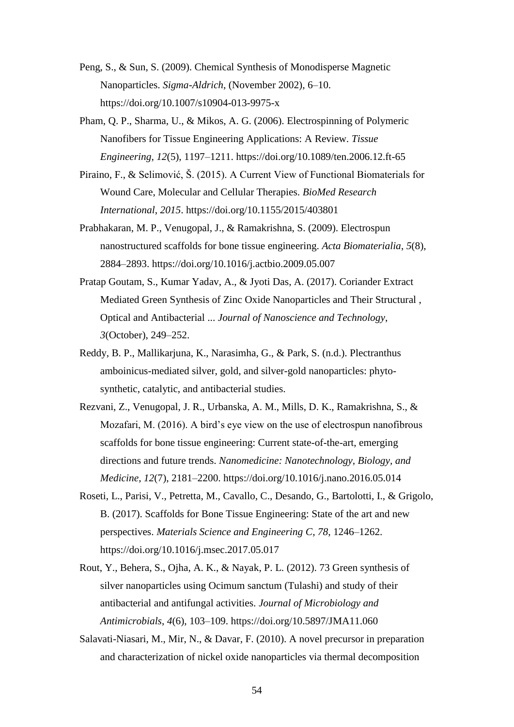- Peng, S., & Sun, S. (2009). Chemical Synthesis of Monodisperse Magnetic Nanoparticles. *Sigma-Aldrich*, (November 2002), 6–10. https://doi.org/10.1007/s10904-013-9975-x
- Pham, Q. P., Sharma, U., & Mikos, A. G. (2006). Electrospinning of Polymeric Nanofibers for Tissue Engineering Applications: A Review. *Tissue Engineering*, *12*(5), 1197–1211. https://doi.org/10.1089/ten.2006.12.ft-65
- Piraino, F., & Selimović, Š. (2015). A Current View of Functional Biomaterials for Wound Care, Molecular and Cellular Therapies. *BioMed Research International*, *2015*. https://doi.org/10.1155/2015/403801
- Prabhakaran, M. P., Venugopal, J., & Ramakrishna, S. (2009). Electrospun nanostructured scaffolds for bone tissue engineering. *Acta Biomaterialia*, *5*(8), 2884–2893. https://doi.org/10.1016/j.actbio.2009.05.007
- Pratap Goutam, S., Kumar Yadav, A., & Jyoti Das, A. (2017). Coriander Extract Mediated Green Synthesis of Zinc Oxide Nanoparticles and Their Structural , Optical and Antibacterial ... *Journal of Nanoscience and Technology*, *3*(October), 249–252.
- Reddy, B. P., Mallikarjuna, K., Narasimha, G., & Park, S. (n.d.). Plectranthus amboinicus-mediated silver, gold, and silver-gold nanoparticles: phytosynthetic, catalytic, and antibacterial studies.
- Rezvani, Z., Venugopal, J. R., Urbanska, A. M., Mills, D. K., Ramakrishna, S., & Mozafari, M. (2016). A bird's eye view on the use of electrospun nanofibrous scaffolds for bone tissue engineering: Current state-of-the-art, emerging directions and future trends. *Nanomedicine: Nanotechnology, Biology, and Medicine*, *12*(7), 2181–2200. https://doi.org/10.1016/j.nano.2016.05.014
- Roseti, L., Parisi, V., Petretta, M., Cavallo, C., Desando, G., Bartolotti, I., & Grigolo, B. (2017). Scaffolds for Bone Tissue Engineering: State of the art and new perspectives. *Materials Science and Engineering C*, *78*, 1246–1262. https://doi.org/10.1016/j.msec.2017.05.017
- Rout, Y., Behera, S., Ojha, A. K., & Nayak, P. L. (2012). 73 Green synthesis of silver nanoparticles using Ocimum sanctum (Tulashi) and study of their antibacterial and antifungal activities. *Journal of Microbiology and Antimicrobials*, *4*(6), 103–109. https://doi.org/10.5897/JMA11.060
- Salavati-Niasari, M., Mir, N., & Davar, F. (2010). A novel precursor in preparation and characterization of nickel oxide nanoparticles via thermal decomposition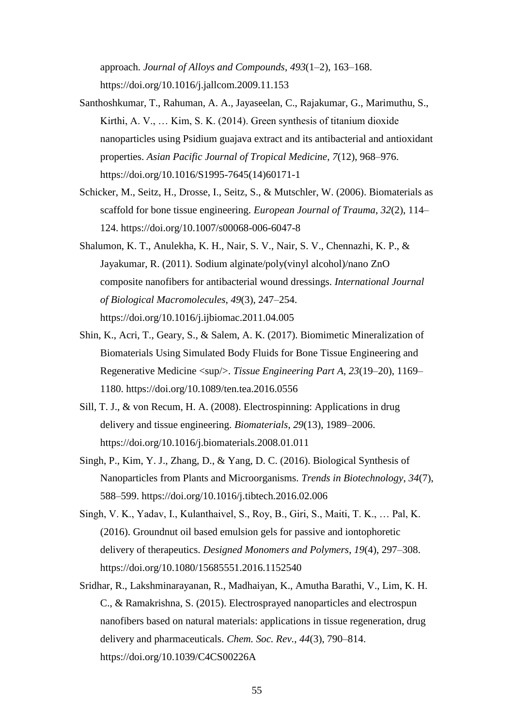approach. *Journal of Alloys and Compounds*, *493*(1–2), 163–168. https://doi.org/10.1016/j.jallcom.2009.11.153

- Santhoshkumar, T., Rahuman, A. A., Jayaseelan, C., Rajakumar, G., Marimuthu, S., Kirthi, A. V., … Kim, S. K. (2014). Green synthesis of titanium dioxide nanoparticles using Psidium guajava extract and its antibacterial and antioxidant properties. *Asian Pacific Journal of Tropical Medicine*, *7*(12), 968–976. https://doi.org/10.1016/S1995-7645(14)60171-1
- Schicker, M., Seitz, H., Drosse, I., Seitz, S., & Mutschler, W. (2006). Biomaterials as scaffold for bone tissue engineering. *European Journal of Trauma*, *32*(2), 114– 124. https://doi.org/10.1007/s00068-006-6047-8
- Shalumon, K. T., Anulekha, K. H., Nair, S. V., Nair, S. V., Chennazhi, K. P., & Jayakumar, R. (2011). Sodium alginate/poly(vinyl alcohol)/nano ZnO composite nanofibers for antibacterial wound dressings. *International Journal of Biological Macromolecules*, *49*(3), 247–254. https://doi.org/10.1016/j.ijbiomac.2011.04.005
- Shin, K., Acri, T., Geary, S., & Salem, A. K. (2017). Biomimetic Mineralization of Biomaterials Using Simulated Body Fluids for Bone Tissue Engineering and Regenerative Medicine <sup/>. *Tissue Engineering Part A*, *23*(19–20), 1169– 1180. https://doi.org/10.1089/ten.tea.2016.0556
- Sill, T. J., & von Recum, H. A. (2008). Electrospinning: Applications in drug delivery and tissue engineering. *Biomaterials*, *29*(13), 1989–2006. https://doi.org/10.1016/j.biomaterials.2008.01.011
- Singh, P., Kim, Y. J., Zhang, D., & Yang, D. C. (2016). Biological Synthesis of Nanoparticles from Plants and Microorganisms. *Trends in Biotechnology*, *34*(7), 588–599. https://doi.org/10.1016/j.tibtech.2016.02.006
- Singh, V. K., Yadav, I., Kulanthaivel, S., Roy, B., Giri, S., Maiti, T. K., … Pal, K. (2016). Groundnut oil based emulsion gels for passive and iontophoretic delivery of therapeutics. *Designed Monomers and Polymers*, *19*(4), 297–308. https://doi.org/10.1080/15685551.2016.1152540
- Sridhar, R., Lakshminarayanan, R., Madhaiyan, K., Amutha Barathi, V., Lim, K. H. C., & Ramakrishna, S. (2015). Electrosprayed nanoparticles and electrospun nanofibers based on natural materials: applications in tissue regeneration, drug delivery and pharmaceuticals. *Chem. Soc. Rev.*, *44*(3), 790–814. https://doi.org/10.1039/C4CS00226A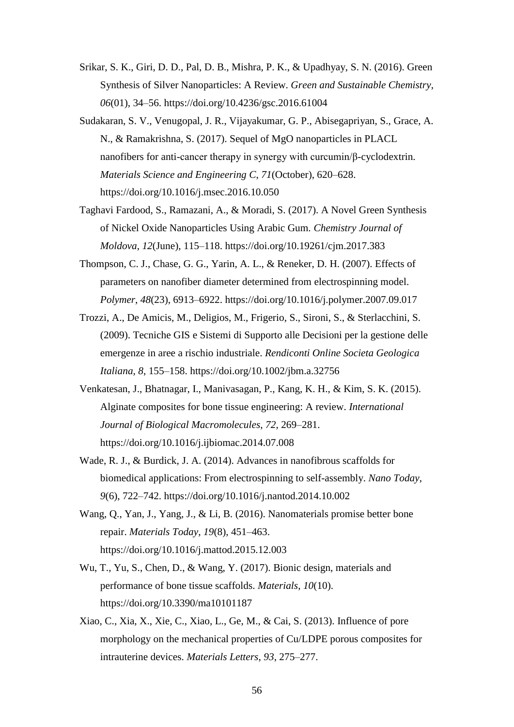- Srikar, S. K., Giri, D. D., Pal, D. B., Mishra, P. K., & Upadhyay, S. N. (2016). Green Synthesis of Silver Nanoparticles: A Review. *Green and Sustainable Chemistry*, *06*(01), 34–56. https://doi.org/10.4236/gsc.2016.61004
- Sudakaran, S. V., Venugopal, J. R., Vijayakumar, G. P., Abisegapriyan, S., Grace, A. N., & Ramakrishna, S. (2017). Sequel of MgO nanoparticles in PLACL nanofibers for anti-cancer therapy in synergy with curcumin/β-cyclodextrin. *Materials Science and Engineering C*, *71*(October), 620–628. https://doi.org/10.1016/j.msec.2016.10.050
- Taghavi Fardood, S., Ramazani, A., & Moradi, S. (2017). A Novel Green Synthesis of Nickel Oxide Nanoparticles Using Arabic Gum. *Chemistry Journal of Moldova*, *12*(June), 115–118. https://doi.org/10.19261/cjm.2017.383
- Thompson, C. J., Chase, G. G., Yarin, A. L., & Reneker, D. H. (2007). Effects of parameters on nanofiber diameter determined from electrospinning model. *Polymer*, *48*(23), 6913–6922. https://doi.org/10.1016/j.polymer.2007.09.017
- Trozzi, A., De Amicis, M., Deligios, M., Frigerio, S., Sironi, S., & Sterlacchini, S. (2009). Tecniche GIS e Sistemi di Supporto alle Decisioni per la gestione delle emergenze in aree a rischio industriale. *Rendiconti Online Societa Geologica Italiana*, *8*, 155–158. https://doi.org/10.1002/jbm.a.32756
- Venkatesan, J., Bhatnagar, I., Manivasagan, P., Kang, K. H., & Kim, S. K. (2015). Alginate composites for bone tissue engineering: A review. *International Journal of Biological Macromolecules*, *72*, 269–281. https://doi.org/10.1016/j.ijbiomac.2014.07.008
- Wade, R. J., & Burdick, J. A. (2014). Advances in nanofibrous scaffolds for biomedical applications: From electrospinning to self-assembly. *Nano Today*, *9*(6), 722–742. https://doi.org/10.1016/j.nantod.2014.10.002
- Wang, Q., Yan, J., Yang, J., & Li, B. (2016). Nanomaterials promise better bone repair. *Materials Today*, *19*(8), 451–463. https://doi.org/10.1016/j.mattod.2015.12.003
- Wu, T., Yu, S., Chen, D., & Wang, Y. (2017). Bionic design, materials and performance of bone tissue scaffolds. *Materials*, *10*(10). https://doi.org/10.3390/ma10101187
- Xiao, C., Xia, X., Xie, C., Xiao, L., Ge, M., & Cai, S. (2013). Influence of pore morphology on the mechanical properties of Cu/LDPE porous composites for intrauterine devices. *Materials Letters*, *93*, 275–277.